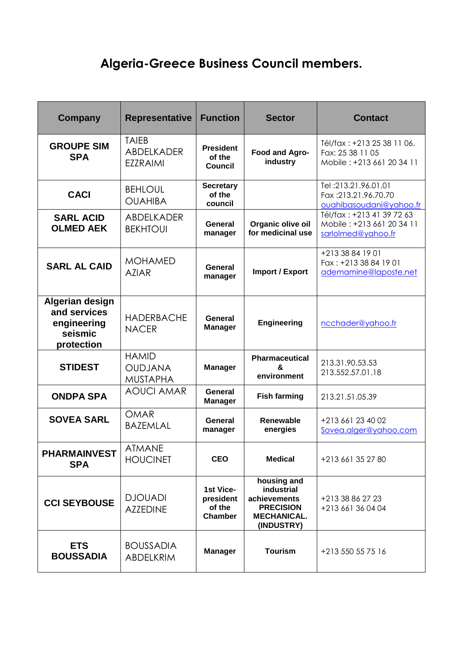## **Algeria-Greece Business Council members.**

| Company                                                                 | <b>Representative</b>                             | <b>Function</b>                                    | <b>Sector</b>                                                                                     | <b>Contact</b>                                                               |
|-------------------------------------------------------------------------|---------------------------------------------------|----------------------------------------------------|---------------------------------------------------------------------------------------------------|------------------------------------------------------------------------------|
| <b>GROUPE SIM</b><br><b>SPA</b>                                         | <b>TAIEB</b><br>ABDELKADER<br><b>EZZRAIMI</b>     | <b>President</b><br>of the<br>Council              | Food and Agro-<br>industry                                                                        | Tél/fax: +213 25 38 11 06.<br>Fax: 25 38 11 05<br>Mobile: +213 661 20 34 11  |
| <b>CACI</b>                                                             | <b>BEHLOUL</b><br><b>OUAHIBA</b>                  | <b>Secretary</b><br>of the<br>council              |                                                                                                   | Tel: 213.21.96.01.01<br>Fax:213.21.96.70.70<br>ouahibasoudani@yahoo.fr       |
| <b>SARL ACID</b><br><b>OLMED AEK</b>                                    | ABDELKADER<br><b>BEKHTOUI</b>                     | General<br>manager                                 | Organic olive oil<br>for medicinal use                                                            | Tél/fax: +213 41 39 72 63<br>Mobile: +213 661 20 34 11<br>sarlolmed@yahoo.fr |
| <b>SARL AL CAID</b>                                                     | <b>MOHAMED</b><br><b>AZIAR</b>                    | General<br>manager                                 | <b>Import / Export</b>                                                                            | +213 38 84 19 01<br>Fax: +213 38 84 19 01<br>ademamine@laposte.net           |
| Algerian design<br>and services<br>engineering<br>seismic<br>protection | <b>HADERBACHE</b><br><b>NACER</b>                 | General<br><b>Manager</b>                          | Engineering                                                                                       | ncchader@yahoo.fr                                                            |
| <b>STIDEST</b>                                                          | <b>HAMID</b><br><b>OUDJANA</b><br><b>MUSTAPHA</b> | <b>Manager</b>                                     | <b>Pharmaceutical</b><br>&<br>environment                                                         | 213.31.90.53.53<br>213.552.57.01.18                                          |
| <b>ONDPA SPA</b>                                                        | <b>AOUCI AMAR</b>                                 | <b>General</b><br><b>Manager</b>                   | <b>Fish farming</b>                                                                               | 213.21.51.05.39                                                              |
| <b>SOVEA SARL</b>                                                       | <b>OMAR</b><br><b>BAZEMLAL</b>                    | General<br>manager                                 | <b>Renewable</b><br>energies                                                                      | +213 661 23 40 02<br>Sovea.alger@yahoo.com                                   |
| <b>PHARMAINVEST</b><br><b>SPA</b>                                       | <b>ATMANE</b><br><b>HOUCINET</b>                  | <b>CEO</b>                                         | <b>Medical</b>                                                                                    | +213 661 35 27 80                                                            |
| <b>CCI SEYBOUSE</b>                                                     | <b>DJOUADI</b><br><b>AZZEDINE</b>                 | 1st Vice-<br>president<br>of the<br><b>Chamber</b> | housing and<br>industrial<br>achievements<br><b>PRECISION</b><br><b>MECHANICAL.</b><br>(INDUSTRY) | +213 38 86 27 23<br>+213 661 36 04 04                                        |
| <b>ETS</b><br><b>BOUSSADIA</b>                                          | <b>BOUSSADIA</b><br>ABDELKRIM                     | <b>Manager</b>                                     | <b>Tourism</b>                                                                                    | +213 550 55 75 16                                                            |